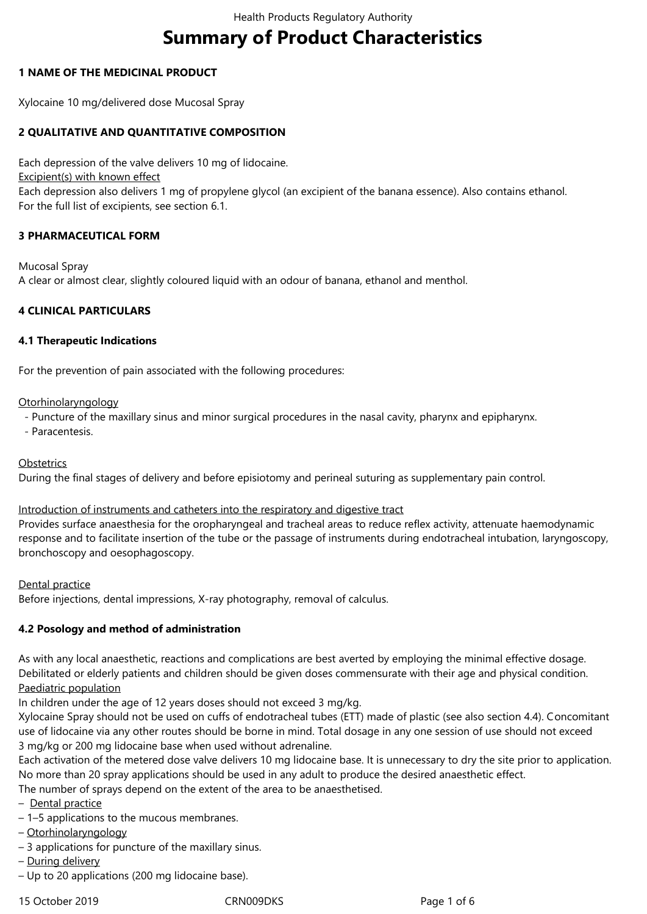# **Summary of Product Characteristics**

# **1 NAME OF THE MEDICINAL PRODUCT**

Xylocaine 10 mg/delivered dose Mucosal Spray

# **2 QUALITATIVE AND QUANTITATIVE COMPOSITION**

Each depression of the valve delivers 10 mg of lidocaine.

Excipient(s) with known effect

Each depression also delivers 1 mg of propylene glycol (an excipient of the banana essence). Also contains ethanol. For the full list of excipients, see section 6.1.

# **3 PHARMACEUTICAL FORM**

Mucosal Spray A clear or almost clear, slightly coloured liquid with an odour of banana, ethanol and menthol.

# **4 CLINICAL PARTICULARS**

# **4.1 Therapeutic Indications**

For the prevention of pain associated with the following procedures:

# **Otorhinolaryngology**

- Puncture of the maxillary sinus and minor surgical procedures in the nasal cavity, pharynx and epipharynx.

- Paracentesis.

**Obstetrics** 

During the final stages of delivery and before episiotomy and perineal suturing as supplementary pain control.

# Introduction of instruments and catheters into the respiratory and digestive tract

Provides surface anaesthesia for the oropharyngeal and tracheal areas to reduce reflex activity, attenuate haemodynamic response and to facilitate insertion of the tube or the passage of instruments during endotracheal intubation, laryngoscopy, bronchoscopy and oesophagoscopy.

Dental practice

Before injections, dental impressions, X-ray photography, removal of calculus.

# **4.2 Posology and method of administration**

As with any local anaesthetic, reactions and complications are best averted by employing the minimal effective dosage. Debilitated or elderly patients and children should be given doses commensurate with their age and physical condition. Paediatric population

In children under the age of 12 years doses should not exceed 3 mg/kg.

Xylocaine Spray should not be used on cuffs of endotracheal tubes (ETT) made of plastic (see also section 4.4). Concomitant use of lidocaine via any other routes should be borne in mind. Total dosage in any one session of use should not exceed 3 mg/kg or 200 mg lidocaine base when used without adrenaline.

Each activation of the metered dose valve delivers 10 mg lidocaine base. It is unnecessary to dry the site prior to application. No more than 20 spray applications should be used in any adult to produce the desired anaesthetic effect.

The number of sprays depend on the extent of the area to be anaesthetised.

- Dental practice
- 1–5 applications to the mucous membranes.
- Otorhinolaryngology
- 3 applications for puncture of the maxillary sinus.
- During delivery
- Up to 20 applications (200 mg lidocaine base).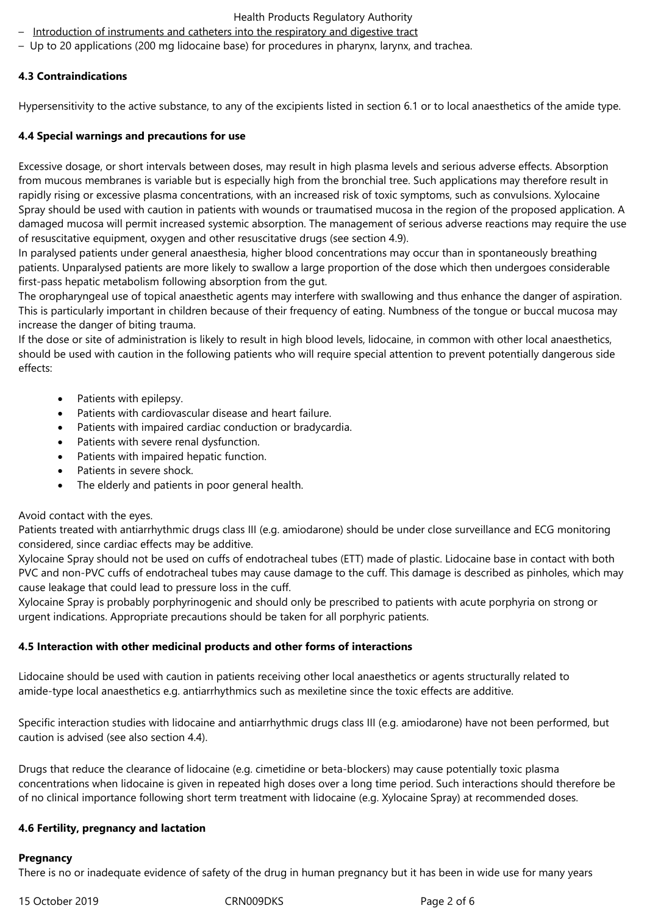## Health Products Regulatory Authority

- Introduction of instruments and catheters into the respiratory and digestive tract
- Up to 20 applications (200 mg lidocaine base) for procedures in pharynx, larynx, and trachea.

## **4.3 Contraindications**

Hypersensitivity to the active substance, to any of the excipients listed in section 6.1 or to local anaesthetics of the amide type.

## **4.4 Special warnings and precautions for use**

Excessive dosage, or short intervals between doses, may result in high plasma levels and serious adverse effects. Absorption from mucous membranes is variable but is especially high from the bronchial tree. Such applications may therefore result in rapidly rising or excessive plasma concentrations, with an increased risk of toxic symptoms, such as convulsions. Xylocaine Spray should be used with caution in patients with wounds or traumatised mucosa in the region of the proposed application. A damaged mucosa will permit increased systemic absorption. The management of serious adverse reactions may require the use of resuscitative equipment, oxygen and other resuscitative drugs (see section 4.9).

In paralysed patients under general anaesthesia, higher blood concentrations may occur than in spontaneously breathing patients. Unparalysed patients are more likely to swallow a large proportion of the dose which then undergoes considerable first-pass hepatic metabolism following absorption from the gut.

The oropharyngeal use of topical anaesthetic agents may interfere with swallowing and thus enhance the danger of aspiration. This is particularly important in children because of their frequency of eating. Numbness of the tongue or buccal mucosa may increase the danger of biting trauma.

If the dose or site of administration is likely to result in high blood levels, lidocaine, in common with other local anaesthetics, should be used with caution in the following patients who will require special attention to prevent potentially dangerous side effects:

- Patients with epilepsy.
- Patients with cardiovascular disease and heart failure.
- Patients with impaired cardiac conduction or bradycardia.
- Patients with severe renal dysfunction.
- Patients with impaired hepatic function.
- Patients in severe shock.
- The elderly and patients in poor general health.

# Avoid contact with the eyes.

Patients treated with antiarrhythmic drugs class III (e.g. amiodarone) should be under close surveillance and ECG monitoring considered, since cardiac effects may be additive.

Xylocaine Spray should not be used on cuffs of endotracheal tubes (ETT) made of plastic. Lidocaine base in contact with both PVC and non-PVC cuffs of endotracheal tubes may cause damage to the cuff. This damage is described as pinholes, which may cause leakage that could lead to pressure loss in the cuff.

Xylocaine Spray is probably porphyrinogenic and should only be prescribed to patients with acute porphyria on strong or urgent indications. Appropriate precautions should be taken for all porphyric patients.

# **4.5 Interaction with other medicinal products and other forms of interactions**

Lidocaine should be used with caution in patients receiving other local anaesthetics or agents structurally related to amide-type local anaesthetics e.g. antiarrhythmics such as mexiletine since the toxic effects are additive.

Specific interaction studies with lidocaine and antiarrhythmic drugs class III (e.g. amiodarone) have not been performed, but caution is advised (see also section 4.4).

Drugs that reduce the clearance of lidocaine (e.g. cimetidine or beta-blockers) may cause potentially toxic plasma concentrations when lidocaine is given in repeated high doses over a long time period. Such interactions should therefore be of no clinical importance following short term treatment with lidocaine (e.g. Xylocaine Spray) at recommended doses.

# **4.6 Fertility, pregnancy and lactation**

## **Pregnancy**

There is no or inadequate evidence of safety of the drug in human pregnancy but it has been in wide use for many years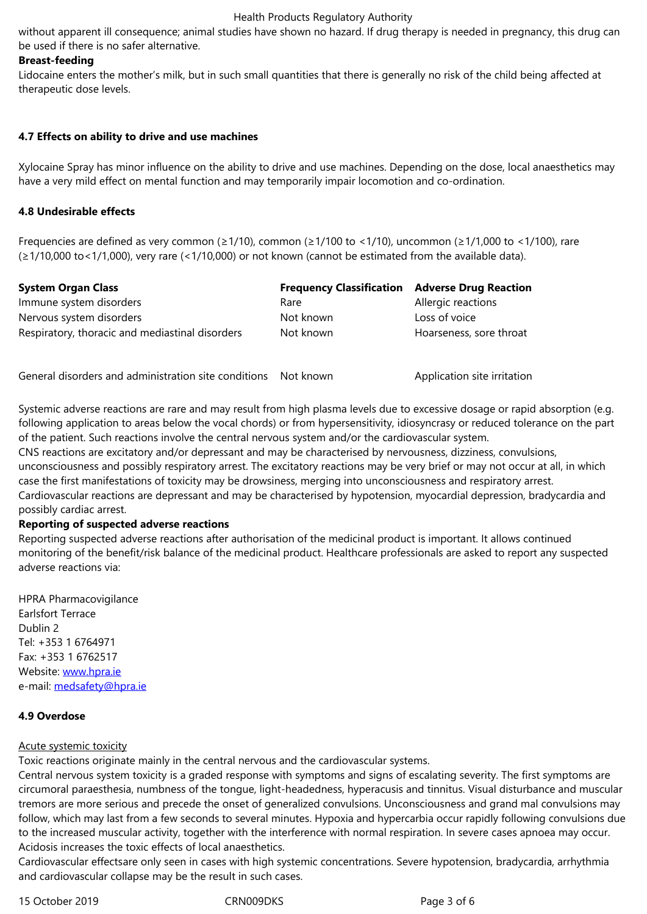#### **Breast-feeding**

Lidocaine enters the mother's milk, but in such small quantities that there is generally no risk of the child being affected at therapeutic dose levels.

## **4.7 Effects on ability to drive and use machines**

Xylocaine Spray has minor influence on the ability to drive and use machines. Depending on the dose, local anaesthetics may have a very mild effect on mental function and may temporarily impair locomotion and co-ordination.

## **4.8 Undesirable effects**

Frequencies are defined as very common (≥1/10), common (≥1/100 to <1/10), uncommon (≥1/1,000 to <1/100), rare (≥1/10,000 to<1/1,000), very rare (<1/10,000) or not known (cannot be estimated from the available data).

| <b>System Organ Class</b>                       | <b>Frequency Classification Adverse Drug Reaction</b> |                         |
|-------------------------------------------------|-------------------------------------------------------|-------------------------|
| Immune system disorders                         | Rare                                                  | Allergic reactions      |
| Nervous system disorders                        | Not known                                             | Loss of voice           |
| Respiratory, thoracic and mediastinal disorders | Not known                                             | Hoarseness, sore throat |

General disorders and administration site conditions Not known Application site irritation

Systemic adverse reactions are rare and may result from high plasma levels due to excessive dosage or rapid absorption (e.g. following application to areas below the vocal chords) or from hypersensitivity, idiosyncrasy or reduced tolerance on the part of the patient. Such reactions involve the central nervous system and/or the cardiovascular system.

CNS reactions are excitatory and/or depressant and may be characterised by nervousness, dizziness, convulsions, unconsciousness and possibly respiratory arrest. The excitatory reactions may be very brief or may not occur at all, in which case the first manifestations of toxicity may be drowsiness, merging into unconsciousness and respiratory arrest. Cardiovascular reactions are depressant and may be characterised by hypotension, myocardial depression, bradycardia and possibly cardiac arrest.

## **Reporting of suspected adverse reactions**

Reporting suspected adverse reactions after authorisation of the medicinal product is important. It allows continued monitoring of the benefit/risk balance of the medicinal product. Healthcare professionals are asked to report any suspected adverse reactions via:

HPRA Pharmacovigilance Earlsfort Terrace Dublin 2 Tel: +353 1 6764971 Fax: +353 1 6762517 Website: www.hpra.ie e-mail: medsafety@hpra.ie

# **4.9 Over[dose](http://www.hpra.ie/)**

## Acute s[ystemic toxicity](mailto:medsafety@hpra.ie)

Toxic reactions originate mainly in the central nervous and the cardiovascular systems.

Central nervous system toxicity is a graded response with symptoms and signs of escalating severity. The first symptoms are circumoral paraesthesia, numbness of the tongue, light-headedness, hyperacusis and tinnitus. Visual disturbance and muscular tremors are more serious and precede the onset of generalized convulsions. Unconsciousness and grand mal convulsions may follow, which may last from a few seconds to several minutes. Hypoxia and hypercarbia occur rapidly following convulsions due to the increased muscular activity, together with the interference with normal respiration. In severe cases apnoea may occur. Acidosis increases the toxic effects of local anaesthetics.

Cardiovascular effectsare only seen in cases with high systemic concentrations. Severe hypotension, bradycardia, arrhythmia and cardiovascular collapse may be the result in such cases.

15 October 2019 CRN009DKS Page 3 of 6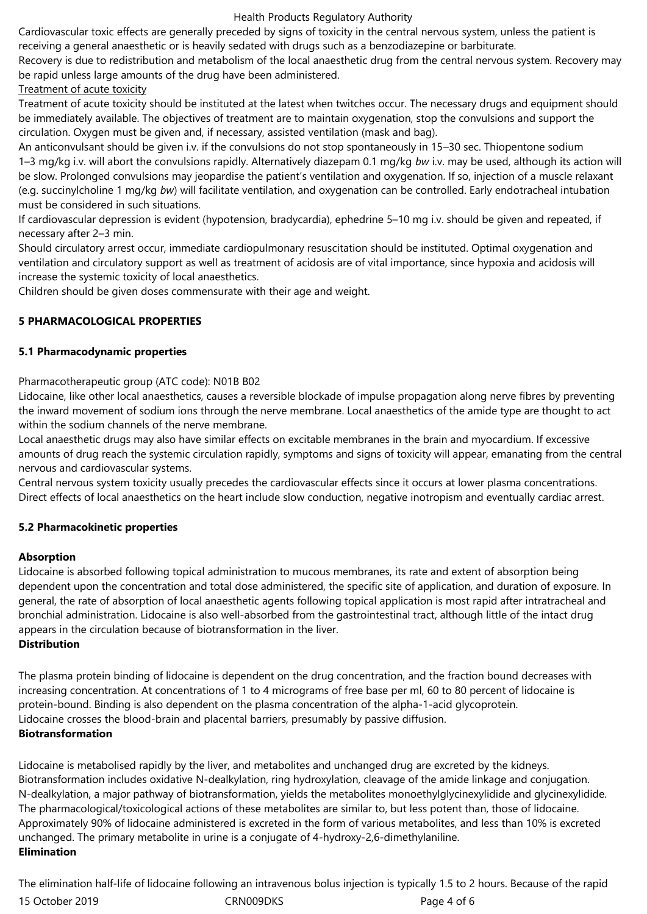#### Health Products Regulatory Authority

Cardiovascular toxic effects are generally preceded by signs of toxicity in the central nervous system, unless the patient is receiving a general anaesthetic or is heavily sedated with drugs such as a benzodiazepine or barbiturate.

Recovery is due to redistribution and metabolism of the local anaesthetic drug from the central nervous system. Recovery may be rapid unless large amounts of the drug have been administered.

# Treatment of acute toxicity

Treatment of acute toxicity should be instituted at the latest when twitches occur. The necessary drugs and equipment should be immediately available. The objectives of treatment are to maintain oxygenation, stop the convulsions and support the circulation. Oxygen must be given and, if necessary, assisted ventilation (mask and bag).

An anticonvulsant should be given i.v. if the convulsions do not stop spontaneously in 15–30 sec. Thiopentone sodium 1–3 mg/kg i.v. will abort the convulsions rapidly. Alternatively diazepam 0.1 mg/kg *bw* i.v. may be used, although its action will be slow. Prolonged convulsions may jeopardise the patient's ventilation and oxygenation. If so, injection of a muscle relaxant (e.g. succinylcholine 1 mg/kg *bw*) will facilitate ventilation, and oxygenation can be controlled. Early endotracheal intubation must be considered in such situations.

If cardiovascular depression is evident (hypotension, bradycardia), ephedrine 5–10 mg i.v. should be given and repeated, if necessary after 2–3 min.

Should circulatory arrest occur, immediate cardiopulmonary resuscitation should be instituted. Optimal oxygenation and ventilation and circulatory support as well as treatment of acidosis are of vital importance, since hypoxia and acidosis will increase the systemic toxicity of local anaesthetics.

Children should be given doses commensurate with their age and weight.

# **5 PHARMACOLOGICAL PROPERTIES**

# **5.1 Pharmacodynamic properties**

Pharmacotherapeutic group (ATC code): N01B B02

Lidocaine, like other local anaesthetics, causes a reversible blockade of impulse propagation along nerve fibres by preventing the inward movement of sodium ions through the nerve membrane. Local anaesthetics of the amide type are thought to act within the sodium channels of the nerve membrane.

Local anaesthetic drugs may also have similar effects on excitable membranes in the brain and myocardium. If excessive amounts of drug reach the systemic circulation rapidly, symptoms and signs of toxicity will appear, emanating from the central nervous and cardiovascular systems.

Central nervous system toxicity usually precedes the cardiovascular effects since it occurs at lower plasma concentrations. Direct effects of local anaesthetics on the heart include slow conduction, negative inotropism and eventually cardiac arrest.

# **5.2 Pharmacokinetic properties**

# **Absorption**

Lidocaine is absorbed following topical administration to mucous membranes, its rate and extent of absorption being dependent upon the concentration and total dose administered, the specific site of application, and duration of exposure. In general, the rate of absorption of local anaesthetic agents following topical application is most rapid after intratracheal and bronchial administration. Lidocaine is also well-absorbed from the gastrointestinal tract, although little of the intact drug appears in the circulation because of biotransformation in the liver.

# **Distribution**

The plasma protein binding of lidocaine is dependent on the drug concentration, and the fraction bound decreases with increasing concentration. At concentrations of 1 to 4 micrograms of free base per ml, 60 to 80 percent of lidocaine is protein-bound. Binding is also dependent on the plasma concentration of the alpha-1-acid glycoprotein. Lidocaine crosses the blood-brain and placental barriers, presumably by passive diffusion. **Biotransformation**

Lidocaine is metabolised rapidly by the liver, and metabolites and unchanged drug are excreted by the kidneys. Biotransformation includes oxidative N-dealkylation, ring hydroxylation, cleavage of the amide linkage and conjugation. N-dealkylation, a major pathway of biotransformation, yields the metabolites monoethylglycinexylidide and glycinexylidide. The pharmacological/toxicological actions of these metabolites are similar to, but less potent than, those of lidocaine. Approximately 90% of lidocaine administered is excreted in the form of various metabolites, and less than 10% is excreted unchanged. The primary metabolite in urine is a conjugate of 4-hydroxy-2,6-dimethylaniline. **Elimination**

15 October 2019 CRN009DKS Page 4 of 6 The elimination half-life of lidocaine following an intravenous bolus injection is typically 1.5 to 2 hours. Because of the rapid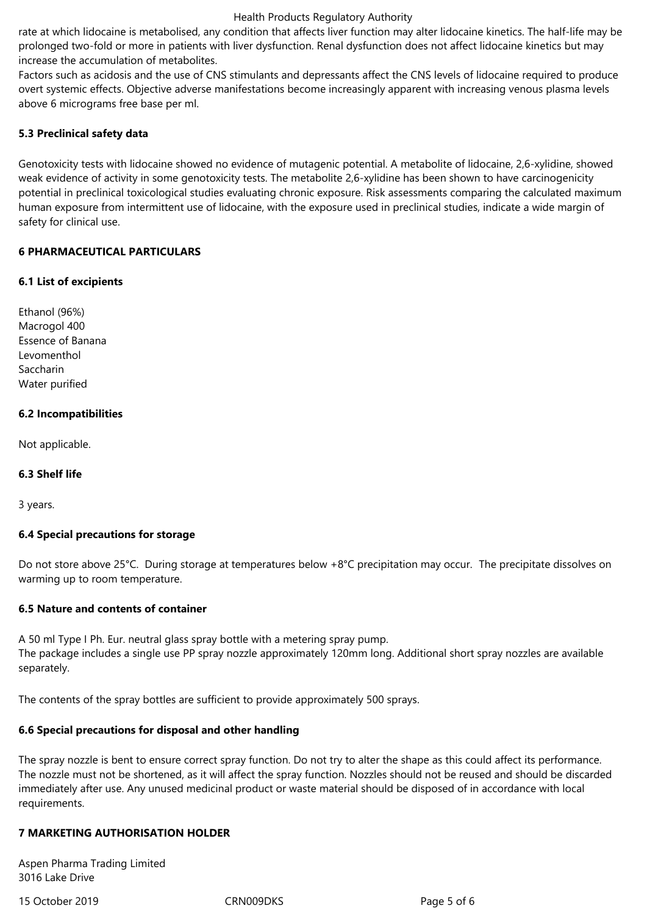#### Health Products Regulatory Authority

rate at which lidocaine is metabolised, any condition that affects liver function may alter lidocaine kinetics. The half-life may be prolonged two-fold or more in patients with liver dysfunction. Renal dysfunction does not affect lidocaine kinetics but may increase the accumulation of metabolites.

Factors such as acidosis and the use of CNS stimulants and depressants affect the CNS levels of lidocaine required to produce overt systemic effects. Objective adverse manifestations become increasingly apparent with increasing venous plasma levels above 6 micrograms free base per ml.

## **5.3 Preclinical safety data**

Genotoxicity tests with lidocaine showed no evidence of mutagenic potential. A metabolite of lidocaine, 2,6-xylidine, showed weak evidence of activity in some genotoxicity tests. The metabolite 2,6-xylidine has been shown to have carcinogenicity potential in preclinical toxicological studies evaluating chronic exposure. Risk assessments comparing the calculated maximum human exposure from intermittent use of lidocaine, with the exposure used in preclinical studies, indicate a wide margin of safety for clinical use.

## **6 PHARMACEUTICAL PARTICULARS**

## **6.1 List of excipients**

Ethanol (96%) Macrogol 400 Essence of Banana Levomenthol Saccharin Water purified

## **6.2 Incompatibilities**

Not applicable.

## **6.3 Shelf life**

3 years.

## **6.4 Special precautions for storage**

Do not store above 25°C. During storage at temperatures below +8°C precipitation may occur. The precipitate dissolves on warming up to room temperature.

## **6.5 Nature and contents of container**

A 50 ml Type I Ph. Eur. neutral glass spray bottle with a metering spray pump. The package includes a single use PP spray nozzle approximately 120mm long. Additional short spray nozzles are available separately.

The contents of the spray bottles are sufficient to provide approximately 500 sprays.

## **6.6 Special precautions for disposal and other handling**

The spray nozzle is bent to ensure correct spray function. Do not try to alter the shape as this could affect its performance. The nozzle must not be shortened, as it will affect the spray function. Nozzles should not be reused and should be discarded immediately after use. Any unused medicinal product or waste material should be disposed of in accordance with local requirements.

# **7 MARKETING AUTHORISATION HOLDER**

Aspen Pharma Trading Limited 3016 Lake Drive

15 October 2019 CRN009DKS Page 5 of 6